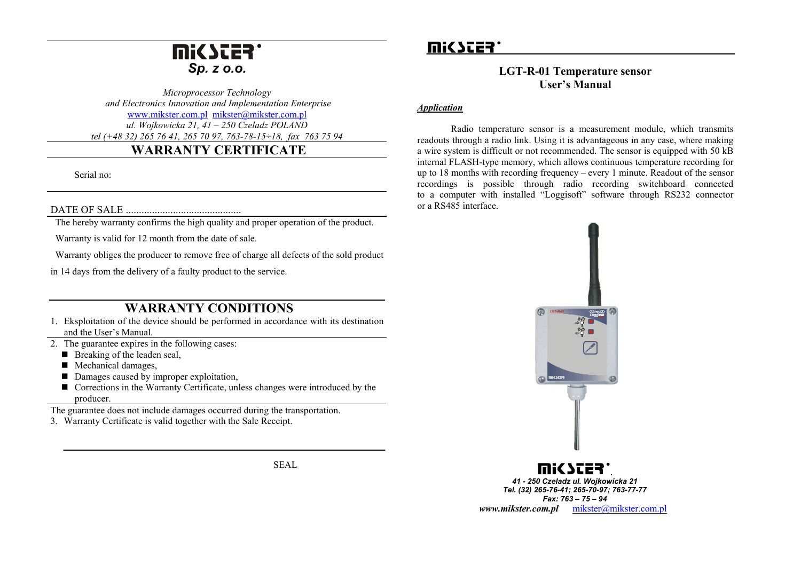# **Mi<SCER** *Sp. z o.o.*

*Microprocessor Technology and Electronics Innovation and Implementation Enterprise*  [www.mikster.com.pl](http://www.miksster.com.pl/) [mikster@mikster.com.pl](mailto:mikster@mikster.com.pl) *ul. Wojkowicka 21, 41 – 250 Czeladz POLAND tel (+48 32) 265 76 41, 265 70 97, 763-78-15÷18, fax 763 75 94*

## **WARRANTY CERTIFICATE**

Serial no:

#### DATE OF SALE ............................................

The hereby warranty confirms the high quality and proper operation of the product.

Warranty is valid for 12 month from the date of sale.

Warranty obliges the producer to remove free of charge all defects of the sold product

in 14 days from the delivery of a faulty product to the service.

## **WARRANTY CONDITIONS**

- 1. Eksploitation of the device should be performed in accordance with its destination and the User's Manual.
- 2. The guarantee expires in the following cases:
	- $\blacksquare$  Breaking of the leaden seal,
	- **Mechanical damages,**
	- Damages caused by improper exploitation,
	- Corrections in the Warranty Certificate, unless changes were introduced by the producer.

The guarantee does not include damages occurred during the transportation.

3. Warranty Certificate is valid together with the Sale Receipt.

SEAL

# mic scer'

### **LGT-R-01 Temperature sensor User's Manual**

#### *Application*

Radio temperature sensor is a measurement module, which transmits readouts through a radio link. Using it is advantageous in any case, where making a wire system is difficult or not recommended. The sensor is equipped with 50 kB internal FLASH-type memory, which allows continuous temperature recording for up to 18 months with recording frequency – every 1 minute. Readout of the sensor recordings is possible through radio recording switchboard connected to a computer with installed "Loggisoft" software through RS232 connector or a RS485 interface.



*. 41 - 250 Czeladz ul. Wojkowicka 21 Tel. (32) 265-76-41; 265-70-97; 763-77-77 Fax: 763 – 75 – 94 www.mikster.com.pl* [mikster@mikster.com.pl](mailto:mikster@mikster.com.pl)